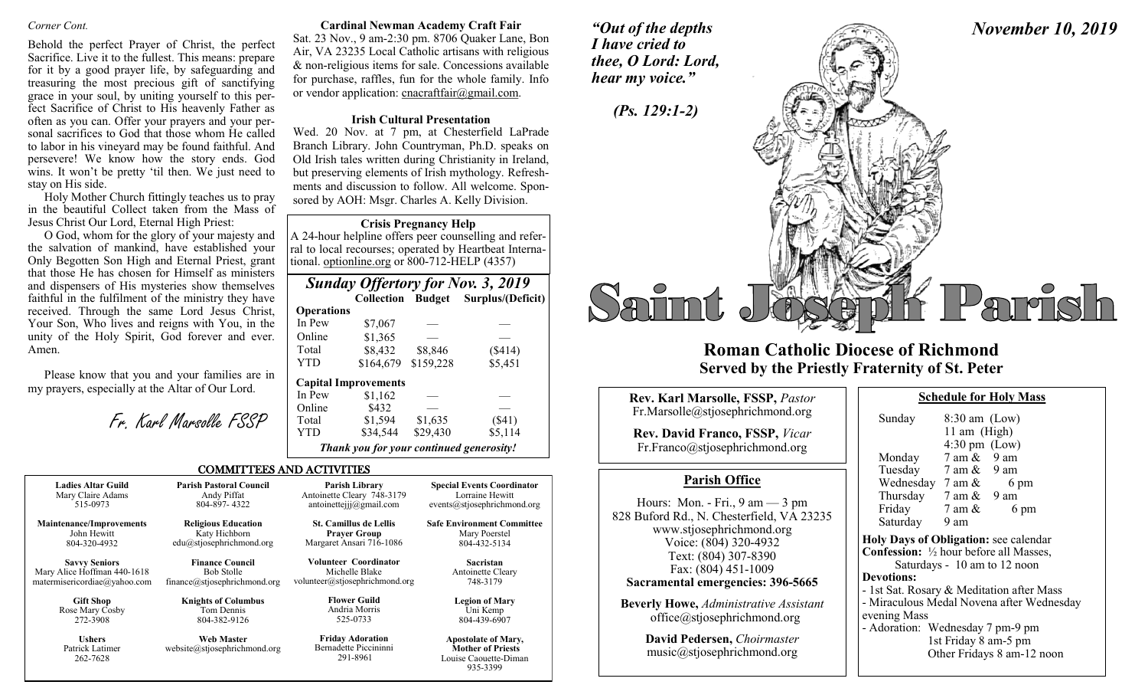Behold the perfect Prayer of Christ, the perfect Sacrifice. Live it to the fullest. This means: prepare for it by a good prayer life, by safeguarding and treasuring the most precious gift of sanctifying grace in your soul, by uniting yourself to this perfect Sacrifice of Christ to His heavenly Father as often as you can. Offer your prayers and your personal sacrifices to God that those whom He called to labor in his vineyard may be found faithful. And persevere! We know how the story ends. God wins. It won't be pretty 'til then. We just need to stay on His side.

Holy Mother Church fittingly teaches us to pray in the beautiful Collect taken from the Mass of Jesus Christ Our Lord, Eternal High Priest:

O God, whom for the glory of your majesty and the salvation of mankind, have established your Only Begotten Son High and Eternal Priest, grant that those He has chosen for Himself as ministers and dispensers of His mysteries show themselves faithful in the fulfilment of the ministry they have received. Through the same Lord Jesus Christ, Your Son, Who lives and reigns with You, in the unity of the Holy Spirit, God forever and ever. Amen.

Please know that you and your families are in my prayers, especially at the Altar of Our Lord.

Fr. Karl Marsolle FSSP

### *Corner Cont.* **Cardinal Newman Academy Craft Fair**

Sat. 23 Nov., 9 am-2:30 pm. 8706 Quaker Lane, Bon Air, VA 23235 Local Catholic artisans with religious & non-religious items for sale. Concessions available for purchase, raffles, fun for the whole family. Info or vendor application: cnacraftfair@gmail.com.

### **Irish Cultural Presentation**

Wed. 20 Nov. at 7 pm, at Chesterfield LaPrade Branch Library. John Countryman, Ph.D. speaks on Old Irish tales written during Christianity in Ireland, but preserving elements of Irish mythology. Refreshments and discussion to follow. All welcome. Sponsored by AOH: Msgr. Charles A. Kelly Division.

### **Crisis Pregnancy Help**

A 24-hour helpline offers peer counselling and referral to local recourses; operated by Heartbeat International. optionline.org or 800-712-HELP (4357)

|                   |                             |           | <b>Sunday Offertory for Nov. 3, 2019</b> |
|-------------------|-----------------------------|-----------|------------------------------------------|
|                   |                             |           | Collection Budget Surplus/(Deficit)      |
| <b>Operations</b> |                             |           |                                          |
| In Pew            | \$7,067                     |           |                                          |
| Online            | \$1,365                     |           |                                          |
| Total             | \$8,432                     | \$8,846   | (\$414)                                  |
| YTD               | \$164,679                   | \$159,228 | \$5,451                                  |
|                   | <b>Capital Improvements</b> |           |                                          |
| In Pew            | \$1,162                     |           |                                          |
| Online            | \$432                       |           |                                          |
| Total             | \$1,594                     | \$1,635   | $(\$41)$                                 |
| YTD               | \$34,544                    | \$29,430  | \$5,114                                  |
|                   | $\sim$ $\sim$ $\sim$        |           | $\sim$ $\sim$                            |

*Thank you for your continued generosity!*

935-3399

## COMMITTEES AND ACTIVITIES

| <b>Ladies Altar Guild</b>                    | <b>Parish Pastoral Council</b>                    | Parish Library                                               | <b>Special Events Coordinator</b>                                               |
|----------------------------------------------|---------------------------------------------------|--------------------------------------------------------------|---------------------------------------------------------------------------------|
| Mary Claire Adams                            | Andy Piffat                                       | Antoinette Cleary 748-3179                                   | Lorraine Hewitt                                                                 |
| 515-0973                                     | 804-897-4322                                      | antoinetteijj@gmail.com                                      | events@stjosephrichmond.org                                                     |
| <b>Maintenance/Improvements</b>              | <b>Religious Education</b>                        | <b>St. Camillus de Lellis</b>                                | <b>Safe Environment Committee</b>                                               |
| John Hewitt                                  | Katy Hichborn                                     | <b>Prayer Group</b>                                          | Mary Poerstel                                                                   |
| 804-320-4932                                 | edu@stjosephrichmond.org                          | Margaret Ansari 716-1086                                     | 804-432-5134                                                                    |
| <b>Savvy Seniors</b>                         | <b>Finance Council</b>                            | Volunteer Coordinator                                        | Sacristan                                                                       |
| Mary Alice Hoffman 440-1618                  | <b>Bob Stolle</b>                                 | Michelle Blake                                               | Antoinette Cleary                                                               |
| matermisericordiae@yahoo.com                 | finance@stjosephrichmond.org                      | volunteer@stjosephrichmond.org                               | 748-3179                                                                        |
| <b>Gift Shop</b>                             | <b>Knights of Columbus</b>                        | <b>Flower Guild</b>                                          | <b>Legion of Mary</b>                                                           |
| Rose Mary Cosby                              | Tom Dennis                                        | Andria Morris                                                | Uni Kemp                                                                        |
| 272-3908                                     | 804-382-9126                                      | 525-0733                                                     | 804-439-6907                                                                    |
| <b>Ushers</b><br>Patrick Latimer<br>262-7628 | <b>Web Master</b><br>website@stjosephrichmond.org | <b>Friday Adoration</b><br>Bernadette Piccininni<br>291-8961 | <b>Apostolate of Mary,</b><br><b>Mother of Priests</b><br>Louise Caouette-Diman |

*"Out of the depths I have cried to thee, O Lord: Lord,* 





# **Roman Catholic Diocese of Richmond Served by the Priestly Fraternity of St. Peter**

| Rev. Karl Marsolle, FSSP, Pastor                                                                                                                                                                   | <b>Schedule for Holy Mass</b>                                                                                                                                                                                              |  |  |
|----------------------------------------------------------------------------------------------------------------------------------------------------------------------------------------------------|----------------------------------------------------------------------------------------------------------------------------------------------------------------------------------------------------------------------------|--|--|
| Fr.Marsolle@stjosephrichmond.org<br><b>Rev. David Franco, FSSP, Vicar</b><br>Fr.Franco@stjosephrichmond.org                                                                                        | Sunday<br>$8:30$ am (Low)<br>11 am $(High)$<br>$4:30 \text{ pm}$ (Low)<br>$7$ am $\&$ 9 am<br>Monday                                                                                                                       |  |  |
| <b>Parish Office</b>                                                                                                                                                                               | Tuesday 7 am & 9 am<br>Wednesday $7 \text{ am } \&$<br>6 pm                                                                                                                                                                |  |  |
| Hours: Mon. - Fri., $9 \text{ am} - 3 \text{ pm}$<br>828 Buford Rd., N. Chesterfield, VA 23235<br>www.stjosephrichmond.org<br>Voice: (804) 320-4932<br>Text: (804) 307-8390<br>Fax: (804) 451-1009 | Thursday $7 \text{ am } \& 9 \text{ am}$<br>Friday $7 \text{ am } \&$<br>6 pm<br>Saturday<br>9 am<br>Holy Days of Obligation: see calenda<br><b>Confession:</b> 1/2 hour before all Masses<br>Saturdays - 10 am to 12 noon |  |  |
| Sacramental emergencies: 396-5665                                                                                                                                                                  | <b>Devotions:</b><br>- 1st Sat. Rosary & Meditation after M                                                                                                                                                                |  |  |
| <b>Beverly Howe, Administrative Assistant</b><br>office@stjosephrichmond.org                                                                                                                       | - Miraculous Medal Novena after Wed<br>evening Mass<br>- Adoration: Wednesday 7 pm-9 pm                                                                                                                                    |  |  |
| David Pedersen, Choirmaster<br>music@stjosephrichmond.org                                                                                                                                          | 1st Friday 8 am-5 pm<br>Other Fridavs 8 am-12 n                                                                                                                                                                            |  |  |

| Sunday                                                                                  | $8:30$ am (Low)<br>11 am (High)<br>$4:30 \text{ pm}$ (Low) |                                           |
|-----------------------------------------------------------------------------------------|------------------------------------------------------------|-------------------------------------------|
| Monday                                                                                  | 7 am & 9 am                                                |                                           |
| Tuesday                                                                                 | $7 \text{ am } \& 9 \text{ am}$                            |                                           |
| Wednesday $7 \text{ am } \&$                                                            |                                                            | 6 pm                                      |
| Thursday $7 \text{ am } \& 9 \text{ am}$                                                |                                                            |                                           |
| Friday                                                                                  | $7$ am $\&$                                                | 6 pm                                      |
| Saturday 9 am                                                                           |                                                            |                                           |
| Holy Days of Obligation: see calendar<br><b>Confession:</b> 1/2 hour before all Masses, |                                                            |                                           |
|                                                                                         |                                                            | Saturdays - 10 am to 12 noon              |
| <b>Devotions:</b>                                                                       |                                                            |                                           |
| - 1st Sat. Rosary & Meditation after Mass                                               |                                                            |                                           |
| evening Mass                                                                            |                                                            | - Miraculous Medal Novena after Wednesday |
| - Adoration: Wednesday 7 pm-9 pm                                                        | 1st Friday 8 am-5 pm                                       | Other Fridays 8 am-12 noon                |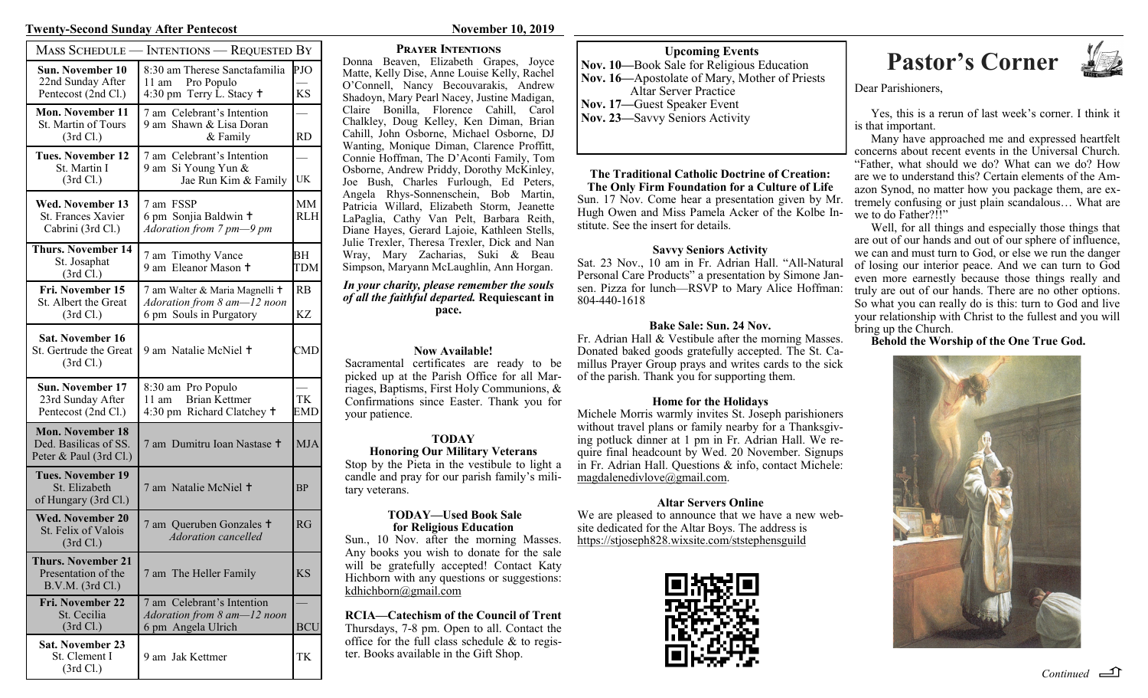### **Twenty-Second Sunday After Pentecost November 10, 2019**

| MASS SCHEDULE -                                                            | - Intentions — Requested By                                                              |                  |
|----------------------------------------------------------------------------|------------------------------------------------------------------------------------------|------------------|
| <b>Sun. November 10</b><br>22nd Sunday After<br>Pentecost (2nd Cl.)        | 8:30 am Therese Sanctafamilia<br>Pro Populo<br>11 am<br>4:30 pm Terry L. Stacy $\dagger$ | PJO<br><b>KS</b> |
| <b>Mon. November 11</b><br>St. Martin of Tours<br>(3rd Cl.)                | 7 am Celebrant's Intention<br>9 am Shawn & Lisa Doran<br>& Family                        | RD               |
| <b>Tues. November 12</b><br>St. Martin I<br>(3rd Cl.)                      | 7 am Celebrant's Intention<br>9 am Si Young Yun &<br>Jae Run Kim & Family                | UK               |
| Wed. November 13<br>St. Frances Xavier<br>Cabrini (3rd Cl.)                | 7 am FSSP<br>6 pm Sonjia Baldwin +<br>Adoration from 7 pm-9 pm                           | MМ<br><b>RLH</b> |
| <b>Thurs. November 14</b><br>St. Josaphat<br>(3rd Cl.)                     | 7 am Timothy Vance<br>9 am Eleanor Mason +                                               | BН<br>TDM        |
| Fri. November 15<br>St. Albert the Great<br>(3rd Cl.)                      | 7 am Walter & Maria Magnelli +<br>Adoration from 8 am-12 noon<br>6 pm Souls in Purgatory | <b>RB</b><br>KZ  |
| <b>Sat. November 16</b><br>St. Gertrude the Great<br>(3rd Cl.)             | 9 am Natalie McNiel +                                                                    | CMD              |
| Sun. November 17<br>23rd Sunday After<br>Pentecost (2nd Cl.)               | 8:30 am Pro Populo<br>Brian Kettmer<br>11 am<br>4:30 pm Richard Clatchey +               | TК<br>EMD        |
| <b>Mon. November 18</b><br>Ded. Basilicas of SS.<br>Peter & Paul (3rd Cl.) | 7 am Dumitru Ioan Nastase <sup>†</sup>                                                   | <b>MJA</b>       |
| <b>Tues. November 19</b><br>St. Elizabeth<br>of Hungary (3rd Cl.)          | 7 am Natalie McNiel +                                                                    | ΒP               |
| <b>Wed. November 20</b><br>St. Felix of Valois<br>(3rd Cl.)                | 7 am Queruben Gonzales +<br><b>Adoration</b> cancelled                                   | RG               |
| <b>Thurs. November 21</b><br>Presentation of the<br>B.V.M. (3rd Cl.)       | 7 am The Heller Family                                                                   | <b>KS</b>        |
| Fri. November 22<br>St. Cecilia<br>(3rd Cl.)                               | 7 am Celebrant's Intention<br>Adoration from 8 am-12 noon<br>6 pm Angela Ulrich          | <b>BCU</b>       |
| <b>Sat. November 23</b><br>St. Clement I                                   | 9 am Jak Kettmer                                                                         | TK               |

(3rd Cl.)

## **Prayer Intentions**

Donna Beaven, Elizabeth Grapes, Joyce Matte, Kelly Dise, Anne Louise Kelly, Rachel O'Connell, Nancy Becouvarakis, Andrew Shadoyn, Mary Pearl Nacey, Justine Madigan, Claire Bonilla, Florence Cahill, Carol Chalkley, Doug Kelley, Ken Diman, Brian Cahill, John Osborne, Michael Osborne, DJ Wanting, Monique Diman, Clarence Proffitt, Connie Hoffman, The D'Aconti Family, Tom Osborne, Andrew Priddy, Dorothy McKinley, Joe Bush, Charles Furlough, Ed Peters, Angela Rhys-Sonnenschein, Bob Martin, Patricia Willard, Elizabeth Storm, Jeanette LaPaglia, Cathy Van Pelt, Barbara Reith, Diane Hayes, Gerard Lajoie, Kathleen Stells, Julie Trexler, Theresa Trexler, Dick and Nan Wray, Mary Zacharias, Suki & Beau Simpson, Maryann McLaughlin, Ann Horgan.

### *In your charity, please remember the souls of all the faithful departed.* **Requiescant in pace.**

# **Now Available!**

Sacramental certificates are ready to be picked up at the Parish Office for all Marriages, Baptisms, First Holy Communions, & Confirmations since Easter. Thank you for your patience.

### **TODAY Honoring Our Military Veterans**

Stop by the Pieta in the vestibule to light a candle and pray for our parish family's military veterans.

## **TODAY—Used Book Sale for Religious Education**

Sun., 10 Nov. after the morning Masses. Any books you wish to donate for the sale will be gratefully accepted! Contact Katy Hichborn with any questions or suggestions: kdhichborn@gmail.com

### **RCIA—Catechism of the Council of Trent** Thursdays, 7-8 pm. Open to all. Contact the office for the full class schedule & to register. Books available in the Gift Shop.

**Nov. 10—**Book Sale for Religious Education **Nov. 16—**Apostolate of Mary, Mother of Priests Altar Server Practice

- **Nov. 17—**Guest Speaker Event
- **Nov. 23—**Savvy Seniors Activity

### **The Traditional Catholic Doctrine of Creation: The Only Firm Foundation for a Culture of Life**  Sun. 17 Nov. Come hear a presentation given by Mr. Hugh Owen and Miss Pamela Acker of the Kolbe Institute. See the insert for details.

# **Savvy Seniors Activity**

Sat. 23 Nov., 10 am in Fr. Adrian Hall. "All-Natural Personal Care Products" a presentation by Simone Jansen. Pizza for lunch—RSVP to Mary Alice Hoffman: 804-440-1618

# **Bake Sale: Sun. 24 Nov.**

Fr. Adrian Hall & Vestibule after the morning Masses. Donated baked goods gratefully accepted. The St. Camillus Prayer Group prays and writes cards to the sick of the parish. Thank you for supporting them.

# **Home for the Holidays**

Michele Morris warmly invites St. Joseph parishioners without travel plans or family nearby for a Thanksgiving potluck dinner at 1 pm in Fr. Adrian Hall. We require final headcount by Wed. 20 November. Signups in Fr. Adrian Hall. Questions & info, contact Michele: magdalenedivlove@gmail.com.

# **Altar Servers Online**

We are pleased to announce that we have a new website dedicated for the Altar Boys. The address is https://stjoseph828.wixsite.com/ststephensguild



# **Pastor's Corner**<br>
Sale for Religious Education<br> **Pastor's Corner**



Dear Parishioners,

Yes, this is a rerun of last week's corner. I think it is that important.

Many have approached me and expressed heartfelt concerns about recent events in the Universal Church. "Father, what should we do? What can we do? How are we to understand this? Certain elements of the Amazon Synod, no matter how you package them, are extremely confusing or just plain scandalous… What are we to do Father?!!"

Well, for all things and especially those things that are out of our hands and out of our sphere of influence, we can and must turn to God, or else we run the danger of losing our interior peace. And we can turn to God even more earnestly because those things really and truly are out of our hands. There are no other options. So what you can really do is this: turn to God and live your relationship with Christ to the fullest and you will bring up the Church.

# **Behold the Worship of the One True God.**



*Continued*